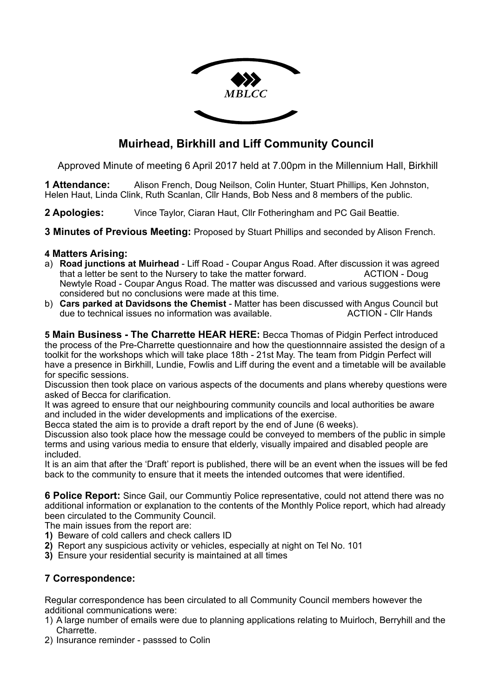

# **Muirhead, Birkhill and Liff Community Council**

Approved Minute of meeting 6 April 2017 held at 7.00pm in the Millennium Hall, Birkhill

**1 Attendance:** Alison French, Doug Neilson, Colin Hunter, Stuart Phillips, Ken Johnston, Helen Haut, Linda Clink, Ruth Scanlan, Cllr Hands, Bob Ness and 8 members of the public.

**2 Apologies:** Vince Taylor, Ciaran Haut, Cllr Fotheringham and PC Gail Beattie.

**3 Minutes of Previous Meeting:** Proposed by Stuart Phillips and seconded by Alison French.

#### **4 Matters Arising:**

- a) **Road junctions at Muirhead** Liff Road Coupar Angus Road. After discussion it was agreed that a letter be sent to the Nursery to take the matter forward. ACTION - Doug Newtyle Road - Coupar Angus Road. The matter was discussed and various suggestions were considered but no conclusions were made at this time.
- b) **Cars parked at Davidsons the Chemist** Matter has been discussed with Angus Council but due to technical issues no information was available.

**5 Main Business - The Charrette HEAR HERE:** Becca Thomas of Pidgin Perfect introduced the process of the Pre-Charrette questionnaire and how the questionnnaire assisted the design of a toolkit for the workshops which will take place 18th - 21st May. The team from Pidgin Perfect will have a presence in Birkhill, Lundie, Fowlis and Liff during the event and a timetable will be available for specific sessions.

Discussion then took place on various aspects of the documents and plans whereby questions were asked of Becca for clarification.

It was agreed to ensure that our neighbouring community councils and local authorities be aware and included in the wider developments and implications of the exercise.

Becca stated the aim is to provide a draft report by the end of June (6 weeks).

Discussion also took place how the message could be conveyed to members of the public in simple terms and using various media to ensure that elderly, visually impaired and disabled people are included.

It is an aim that after the 'Draft' report is published, there will be an event when the issues will be fed back to the community to ensure that it meets the intended outcomes that were identified.

**6 Police Report:** Since Gail, our Communtiy Police representative, could not attend there was no additional information or explanation to the contents of the Monthly Police report, which had already been circulated to the Community Council.

The main issues from the report are:

- **1)** Beware of cold callers and check callers ID
- **2)** Report any suspicious activity or vehicles, especially at night on Tel No. 101
- **3)** Ensure your residential security is maintained at all times

# **7 Correspondence:**

Regular correspondence has been circulated to all Community Council members however the additional communications were:

- 1) A large number of emails were due to planning applications relating to Muirloch, Berryhill and the Charrette.
- 2) Insurance reminder passsed to Colin